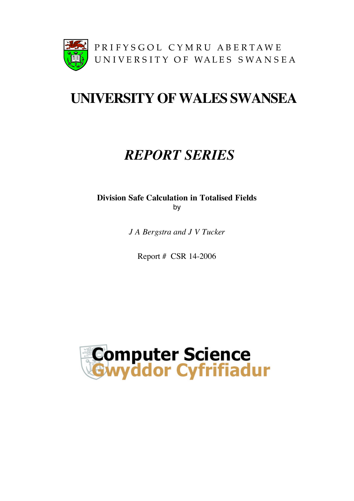

# **UNIVERSITY OFWALES SWANSEA**

# *REPORT SERIES*

**Division Safe Calculation in Totalised Fields** by

*J A Bergstra and J V Tucker*

Report # CSR 14-2006

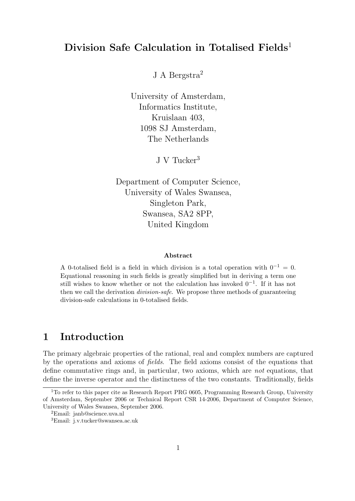## Division Safe Calculation in Totalised Fields<sup>1</sup>

J A Bergstra<sup>2</sup>

University of Amsterdam, Informatics Institute, Kruislaan 403, 1098 SJ Amsterdam, The Netherlands

J V Tucker<sup>3</sup>

Department of Computer Science, University of Wales Swansea, Singleton Park, Swansea, SA2 8PP, United Kingdom

#### Abstract

A 0-totalised field is a field in which division is a total operation with  $0^{-1} = 0$ . Equational reasoning in such fields is greatly simplified but in deriving a term one still wishes to know whether or not the calculation has invoked  $0^{-1}$ . If it has not then we call the derivation *division-safe*. We propose three methods of guaranteeing division-safe calculations in 0-totalised fields.

## 1 Introduction

The primary algebraic properties of the rational, real and complex numbers are captured by the operations and axioms of fields. The field axioms consist of the equations that define commutative rings and, in particular, two axioms, which are not equations, that define the inverse operator and the distinctness of the two constants. Traditionally, fields

<sup>&</sup>lt;sup>1</sup>To refer to this paper cite as Research Report PRG 0605, Programming Research Group, University of Amsterdam, September 2006 or Technical Report CSR 14-2006, Department of Computer Science, University of Wales Swansea, September 2006.

<sup>2</sup>Email: janb@science.uva.nl

<sup>3</sup>Email: j.v.tucker@swansea.ac.uk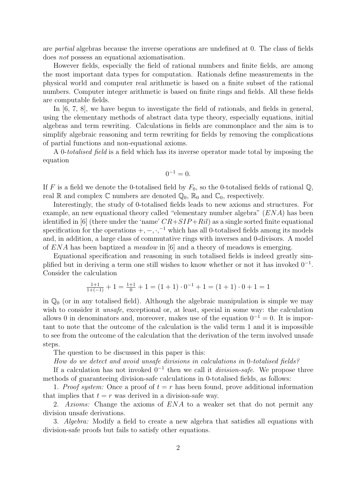are partial algebras because the inverse operations are undefined at 0. The class of fields does not possess an equational axiomatisation.

However fields, especially the field of rational numbers and finite fields, are among the most important data types for computation. Rationals define measurements in the physical world and computer real arithmetic is based on a finite subset of the rational numbers. Computer integer arithmetic is based on finite rings and fields. All these fields are computable fields.

In [6, 7, 8], we have begun to investigate the field of rationals, and fields in general, using the elementary methods of abstract data type theory, especially equations, initial algebras and term rewriting. Calculations in fields are commonplace and the aim is to simplify algebraic reasoning and term rewriting for fields by removing the complications of partial functions and non-equational axioms.

A 0-totalised field is a field which has its inverse operator made total by imposing the equation

$$
0^{-1}=0.
$$

If F is a field we denote the 0-totalised field by  $F_0$ , so the 0-totalised fields of rational Q, real  $\mathbb R$  and complex  $\mathbb C$  numbers are denoted  $\mathbb Q_0$ ,  $\mathbb R_0$  and  $\mathbb C_0$ , respectively.

Interestingly, the study of 0-totalised fields leads to new axioms and structures. For example, an new equational theory called "elementary number algebra"  $(ENA)$  has been identified in [6] (there under the 'name'  $CR+SIP+Ril$ ) as a single sorted finite equational specification for the operations  $+,-,\cdot,^{-1}$  which has all 0-totalised fields among its models and, in addition, a large class of commutative rings with inverses and 0-divisors. A model of  $ENA$  has been baptized a *meadow* in [6] and a theory of meadows is emerging.

Equational specification and reasoning in such totalised fields is indeed greatly simplified but in deriving a term one still wishes to know whether or not it has invoked  $0^{-1}$ . Consider the calculation

$$
\frac{1+1}{1+(-1)} + 1 = \frac{1+1}{0} + 1 = (1+1) \cdot 0^{-1} + 1 = (1+1) \cdot 0 + 1 = 1
$$

in  $\mathbb{Q}_0$  (or in any totalised field). Although the algebraic manipulation is simple we may wish to consider it *unsafe*, exceptional or, at least, special in some way: the calculation allows 0 in denominators and, moreover, makes use of the equation  $0^{-1} = 0$ . It is important to note that the outcome of the calculation is the valid term 1 and it is impossible to see from the outcome of the calculation that the derivation of the term involved unsafe steps.

The question to be discussed in this paper is this:

How do we detect and avoid unsafe divisions in calculations in 0-totalised fields?

If a calculation has not invoked  $0^{-1}$  then we call it *division-safe*. We propose three methods of guaranteeing division-safe calculations in 0-totalised fields, as follows:

1. Proof system: Once a proof of  $t = r$  has been found, prove additional information that implies that  $t = r$  was derived in a division-safe way.

2. Axioms: Change the axioms of ENA to a weaker set that do not permit any division unsafe derivations.

3. Algebra: Modify a field to create a new algebra that satisfies all equations with division-safe proofs but fails to satisfy other equations.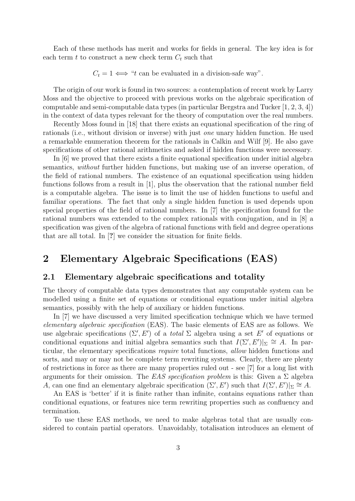Each of these methods has merit and works for fields in general. The key idea is for each term  $t$  to construct a new check term  $C_t$  such that

 $C_t = 1 \iff "t$  can be evaluated in a division-safe way".

The origin of our work is found in two sources: a contemplation of recent work by Larry Moss and the objective to proceed with previous works on the algebraic specification of computable and semi-computable data types (in particular Bergstra and Tucker [1, 2, 3, 4]) in the context of data types relevant for the theory of computation over the real numbers.

Recently Moss found in [18] that there exists an equational specification of the ring of rationals (i.e., without division or inverse) with just one unary hidden function. He used a remarkable enumeration theorem for the rationals in Calkin and Wilf [9]. He also gave specifications of other rational arithmetics and asked if hidden functions were necessary.

In [6] we proved that there exists a finite equational specification under initial algebra semantics, without further hidden functions, but making use of an inverse operation, of the field of rational numbers. The existence of an equational specification using hidden functions follows from a result in [1], plus the observation that the rational number field is a computable algebra. The issue is to limit the use of hidden functions to useful and familiar operations. The fact that only a single hidden function is used depends upon special properties of the field of rational numbers. In [7] the specification found for the rational numbers was extended to the complex rationals with conjugation, and in [8] a specification was given of the algebra of rational functions with field and degree operations that are all total. In [?] we consider the situation for finite fields.

# 2 Elementary Algebraic Specifications (EAS)

#### 2.1 Elementary algebraic specifications and totality

The theory of computable data types demonstrates that any computable system can be modelled using a finite set of equations or conditional equations under initial algebra semantics, possibly with the help of auxiliary or hidden functions.

In [7] we have discussed a very limited specification technique which we have termed elementary algebraic specification (EAS). The basic elements of EAS are as follows. We use algebraic specifications  $(\Sigma', E')$  of a *total*  $\Sigma$  algebra using a set E' of equations or conditional equations and initial algebra semantics such that  $I(\Sigma', E')|_{\Sigma} \cong A$ . In particular, the elementary specifications require total functions, allow hidden functions and sorts, and may or may not be complete term rewriting systems. Clearly, there are plenty of restrictions in force as there are many properties ruled out - see [7] for a long list with arguments for their omission. The EAS specification problem is this: Given a  $\Sigma$  algebra A, can one find an elementary algebraic specification  $(\Sigma', E')$  such that  $I(\Sigma', E')|_{\Sigma} \cong A$ .

An EAS is 'better' if it is finite rather than infinite, contains equations rather than conditional equations, or features nice term rewriting properties such as confluency and termination.

To use these EAS methods, we need to make algebras total that are usually considered to contain partial operators. Unavoidably, totalisation introduces an element of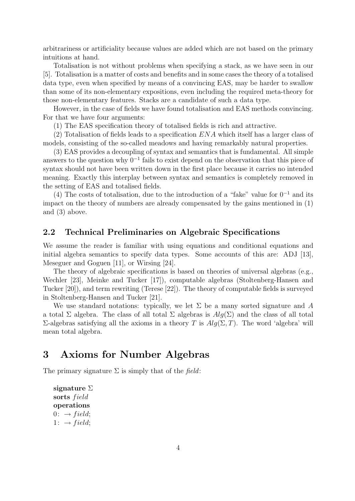arbitrariness or artificiality because values are added which are not based on the primary intuitions at hand.

Totalisation is not without problems when specifying a stack, as we have seen in our [5]. Totalisation is a matter of costs and benefits and in some cases the theory of a totalised data type, even when specified by means of a convincing EAS, may be harder to swallow than some of its non-elementary expositions, even including the required meta-theory for those non-elementary features. Stacks are a candidate of such a data type.

However, in the case of fields we have found totalisation and EAS methods convincing. For that we have four arguments:

(1) The EAS specification theory of totalised fields is rich and attractive.

(2) Totalisation of fields leads to a specification ENA which itself has a larger class of models, consisting of the so-called meadows and having remarkably natural properties.

(3) EAS provides a decoupling of syntax and semantics that is fundamental. All simple answers to the question why 0<sup>−</sup><sup>1</sup> fails to exist depend on the observation that this piece of syntax should not have been written down in the first place because it carries no intended meaning. Exactly this interplay between syntax and semantics is completely removed in the setting of EAS and totalised fields.

(4) The costs of totalisation, due to the introduction of a "fake" value for  $0^{-1}$  and its impact on the theory of numbers are already compensated by the gains mentioned in (1) and (3) above.

#### 2.2 Technical Preliminaries on Algebraic Specifications

We assume the reader is familiar with using equations and conditional equations and initial algebra semantics to specify data types. Some accounts of this are: ADJ [13], Meseguer and Goguen [11], or Wirsing [24].

The theory of algebraic specifications is based on theories of universal algebras (e.g., Wechler [23], Meinke and Tucker [17]), computable algebras (Stoltenberg-Hansen and Tucker [20]), and term rewriting (Terese [22]). The theory of computable fields is surveyed in Stoltenberg-Hansen and Tucker [21].

We use standard notations: typically, we let  $\Sigma$  be a many sorted signature and A a total  $\Sigma$  algebra. The class of all total  $\Sigma$  algebras is  $Alg(\Sigma)$  and the class of all total  $\Sigma$ -algebras satisfying all the axioms in a theory T is  $Alg(Σ, T)$ . The word 'algebra' will mean total algebra.

## 3 Axioms for Number Algebras

The primary signature  $\Sigma$  is simply that of the field:

signature Σ sorts field operations  $0: \rightarrow field;$  $1: \rightarrow field;$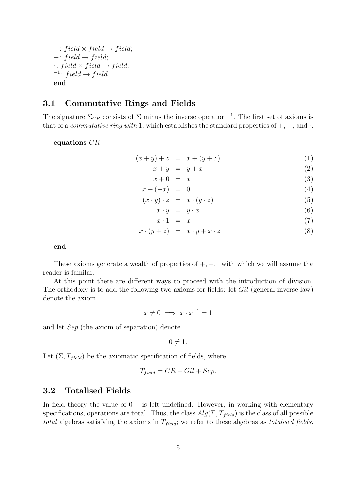$+: field \times field \rightarrow field;$  $-$ : field → field;  $\cdot$ : field  $\times$  field  $\rightarrow$  field;  $i^{-1}$ : field  $\rightarrow$  field end

#### 3.1 Commutative Rings and Fields

The signature  $\Sigma_{CR}$  consists of  $\Sigma$  minus the inverse operator <sup>-1</sup>. The first set of axioms is that of a *commutative ring with* 1, which establishes the standard properties of  $+, -$ , and  $\cdot$ .

equations CR

$$
(x + y) + z = x + (y + z)
$$
 (1)

$$
x + y = y + x \tag{2}
$$

$$
x + 0 = x \tag{3}
$$
\n
$$
x + (-x) = 0 \tag{4}
$$

$$
x + (-x) = 0
$$
  
(x \cdot y) \cdot z = x \cdot (y \cdot z) (5)

$$
x \cdot y = x \cdot (y \cdot z) \tag{9}
$$
  

$$
x \cdot y = y \cdot x \tag{6}
$$

$$
\begin{array}{ccc}\n x \cdot y & y & x \\
x \cdot 1 & = & x\n \end{array}\n \tag{7}
$$

$$
x \cdot (y+z) = x \cdot y + x \cdot z \tag{8}
$$

end

These axioms generate a wealth of properties of  $+,-$ ,  $\cdot$  with which we will assume the reader is familar.

At this point there are different ways to proceed with the introduction of division. The orthodoxy is to add the following two axioms for fields: let Gil (general inverse law) denote the axiom

$$
x \neq 0 \implies x \cdot x^{-1} = 1
$$

and let Sep (the axiom of separation) denote

 $0 \neq 1$ .

Let  $(\Sigma, T_{field})$  be the axiomatic specification of fields, where

$$
T_{field} = CR + Gil + Sep.
$$

#### 3.2 Totalised Fields

In field theory the value of  $0^{-1}$  is left undefined. However, in working with elementary specifications, operations are total. Thus, the class  $Alg(\Sigma, T_{field})$  is the class of all possible *total* algebras satisfying the axioms in  $T_{field}$ ; we refer to these algebras as *totalised fields*.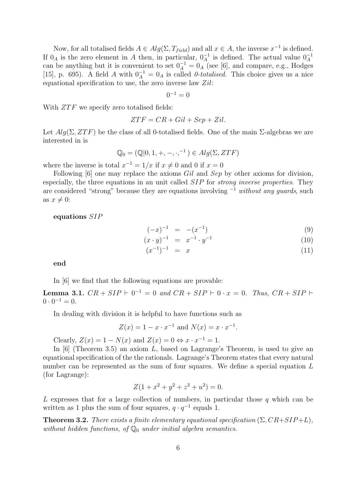Now, for all totalised fields  $A \in Alg(\Sigma, T_{field})$  and all  $x \in A$ , the inverse  $x^{-1}$  is defined. If  $0_A$  is the zero element in A then, in particular,  $0_A^{-1}$  is defined. The actual value  $0_A^{-1}$ can be anything but it is convenient to set  $0_A^{-1} = 0_A$  (see [6], and compare, e.g., Hodges [15], p. 695). A field A with  $0_A^{-1} = 0_A$  is called 0-totalised. This choice gives us a nice equational specification to use, the zero inverse law  $Zil$ :

$$
0^{-1}=0
$$

With  $ZTF$  we specify zero totalised fields:

$$
ZTF = CR + Gil + Sep + Zil.
$$

Let  $Alg(\Sigma, ZTF)$  be the class of all 0-totalised fields. One of the main  $\Sigma$ -algebras we are interested in is

$$
\mathbb{Q}_0 = (\mathbb{Q}|0, 1, +, -, \cdot, ^{-1}) \in Alg(\Sigma, ZTF)
$$

where the inverse is total  $x^{-1} = 1/x$  if  $x \neq 0$  and 0 if  $x = 0$ 

Following [6] one may replace the axioms Gil and Sep by other axioms for division, especially, the three equations in an unit called SIP for strong inverse properties. They are considered "strong" because they are equations involving  $^{-1}$  without any quards, such as  $x \neq 0$ :

equations SIP

$$
(-x)^{-1} = -(x^{-1}) \tag{9}
$$

$$
(x \cdot y)^{-1} = x^{-1} \cdot y^{-1} \tag{10}
$$

$$
(x^{-1})^{-1} = x \tag{11}
$$

end

In [6] we find that the following equations are provable:

**Lemma 3.1.**  $CR + SIP \vdash 0^{-1} = 0$  and  $CR + SIP \vdash 0 \cdot x = 0$ . Thus,  $CR + SIP \vdash$  $0 \cdot 0^{-1} = 0.$ 

In dealing with division it is helpful to have functions such as

$$
Z(x) = 1 - x \cdot x^{-1}
$$
 and  $N(x) = x \cdot x^{-1}$ .

Clearly,  $Z(x) = 1 - N(x)$  and  $Z(x) = 0 \Leftrightarrow x \cdot x^{-1} = 1$ .

In  $[6]$  (Theorem 3.5) an axiom L, based on Lagrange's Theorem, is used to give an equational specification of the the rationals. Lagrange's Theorem states that every natural number can be represented as the sum of four squares. We define a special equation L (for Lagrange):

$$
Z(1 + x^2 + y^2 + z^2 + u^2) = 0.
$$

L expresses that for a large collection of numbers, in particular those  $q$  which can be written as 1 plus the sum of four squares,  $q \cdot q^{-1}$  equals 1.

**Theorem 3.2.** There exists a finite elementary equational specification  $(\Sigma, CR+SIP+L)$ , without hidden functions, of  $\mathbb{Q}_0$  under initial algebra semantics.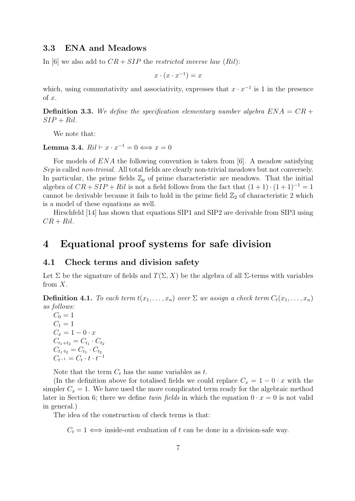#### 3.3 ENA and Meadows

In [6] we also add to  $CR + SIP$  the restricted inverse law (Ril):

$$
x \cdot (x \cdot x^{-1}) = x
$$

which, using commutativity and associativity, expresses that  $x \cdot x^{-1}$  is 1 in the presence of  $x$ .

**Definition 3.3.** We define the specification elementary number algebra  $ENA = CR +$  $SIP + Ril.$ 

We note that:

Lemma 3.4.  $Ril \vdash x \cdot x^{-1} = 0 \Longleftrightarrow x = 0$ 

For models of ENA the following convention is taken from [6]. A meadow satisfying Sep is called non-trivial. All total fields are clearly non-trivial meadows but not conversely. In particular, the prime fields  $\mathbb{Z}_p$  of prime characteristic are meadows. That the initial algebra of  $CR + SIP + Ril$  is not a field follows from the fact that  $(1 + 1) \cdot (1 + 1)^{-1} = 1$ cannot be derivable because it fails to hold in the prime field  $\mathbb{Z}_2$  of characteristic 2 which is a model of these equations as well.

Hirschfeld [14] has shown that equations SIP1 and SIP2 are derivable from SIP3 using  $CR + Ril.$ 

### 4 Equational proof systems for safe division

#### 4.1 Check terms and division safety

Let  $\Sigma$  be the signature of fields and  $T(\Sigma, X)$  be the algebra of all  $\Sigma$ -terms with variables from  $X$ .

**Definition 4.1.** To each term  $t(x_1, \ldots, x_n)$  over  $\Sigma$  we assign a check term  $C_t(x_1, \ldots, x_n)$ as follows:

 $C_0 = 1$  $C_1 = 1$  $C_x = 1 - 0 \cdot x$  $C_{t_1+t_2} = C_{t_1} \cdot C_{t_2}$  $C_{t_1 \cdot t_2} = C_{t_1} \cdot C_{t_2}$  $C_{t^{-1}} = C_t \cdot t \cdot t^{-1}$ 

Note that the term  $C_t$  has the same variables as t.

(In the definition above for totalised fields we could replace  $C_x = 1 - 0 \cdot x$  with the simpler  $C_x = 1$ . We have used the more complicated term ready for the algebraic method later in Section 6; there we define twin fields in which the equation  $0 \cdot x = 0$  is not valid in general.)

The idea of the construction of check terms is that:

 $C_t = 1 \iff$  inside-out evaluation of t can be done in a division-safe way.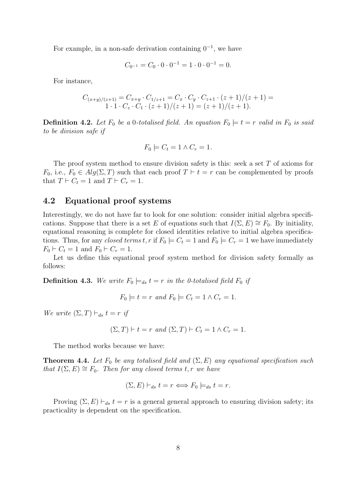For example, in a non-safe derivation containing  $0^{-1}$ , we have

$$
C_{0^{-1}} = C_0 \cdot 0 \cdot 0^{-1} = 1 \cdot 0 \cdot 0^{-1} = 0.
$$

For instance,

$$
C_{(x+y)/(z+1)} = C_{x+y} \cdot C_{1/z+1} = C_x \cdot C_y \cdot C_{z+1} \cdot (z+1)/(z+1) = 1 \cdot 1 \cdot C_z \cdot C_1 \cdot (z+1)/(z+1) = (z+1)/(z+1).
$$

**Definition 4.2.** Let  $F_0$  be a 0-totalised field. An equation  $F_0 \models t = r$  valid in  $F_0$  is said to be division safe if

$$
F_0 \models C_t = 1 \land C_r = 1.
$$

The proof system method to ensure division safety is this: seek a set T of axioms for  $F_0$ , i.e.,  $F_0 \in Alg(\Sigma, T)$  such that each proof  $T \vdash t = r$  can be complemented by proofs that  $T \vdash C_t = 1$  and  $T \vdash C_r = 1$ .

#### 4.2 Equational proof systems

Interestingly, we do not have far to look for one solution: consider initial algebra specifications. Suppose that there is a set E of equations such that  $I(\Sigma, E) \cong F_0$ . By initiality, equational reasoning is complete for closed identities relative to initial algebra specifications. Thus, for any closed terms t, r if  $F_0 \models C_t = 1$  and  $F_0 \models C_r = 1$  we have immediately  $F_0 \vdash C_t = 1$  and  $F_0 \vdash C_r = 1$ .

Let us define this equational proof system method for division safety formally as follows:

**Definition 4.3.** We write  $F_0 \models_{ds} t = r$  in the 0-totalised field  $F_0$  if

$$
F_0 \models t = r \text{ and } F_0 \models C_t = 1 \land C_r = 1.
$$

We write  $(\Sigma, T) \vdash_{ds} t = r$  if

$$
(\Sigma, T) \vdash t = r \text{ and } (\Sigma, T) \vdash C_t = 1 \land C_r = 1.
$$

The method works because we have:

**Theorem 4.4.** Let  $F_0$  be any totalised field and  $(\Sigma, E)$  any equational specification such that  $I(\Sigma, E) \cong F_0$ . Then for any closed terms t, r we have

$$
(\Sigma, E) \vdash_{ds} t = r \Longleftrightarrow F_0 \models_{ds} t = r.
$$

Proving  $(\Sigma, E) \vdash_{ds} t = r$  is a general general approach to ensuring division safety; its practicality is dependent on the specification.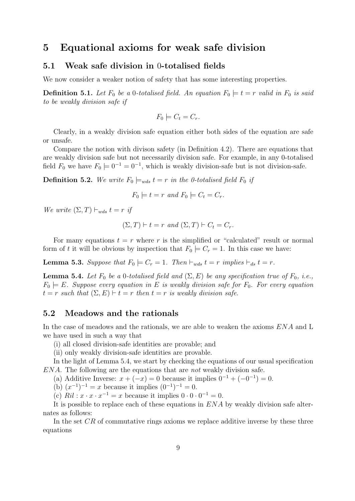## 5 Equational axioms for weak safe division

#### 5.1 Weak safe division in 0-totalised fields

We now consider a weaker notion of safety that has some interesting properties.

**Definition 5.1.** Let  $F_0$  be a 0-totalised field. An equation  $F_0 \models t = r$  valid in  $F_0$  is said to be weakly division safe if

$$
F_0 \models C_t = C_r.
$$

Clearly, in a weakly division safe equation either both sides of the equation are safe or unsafe.

Compare the notion with divison safety (in Definition 4.2). There are equations that are weakly division safe but not necessarily division safe. For example, in any 0-totalised field  $F_0$  we have  $F_0 \models 0^{-1} = 0^{-1}$ , which is weakly division-safe but is not division-safe.

**Definition 5.2.** We write  $F_0 \models_{wds} t = r$  in the 0-totalised field  $F_0$  if

$$
F_0 \models t = r
$$
 and  $F_0 \models C_t = C_r$ .

We write  $(\Sigma, T) \vdash_{wds} t = r$  if

$$
(\Sigma, T) \vdash t = r \text{ and } (\Sigma, T) \vdash C_t = C_r.
$$

For many equations  $t = r$  where r is the simplified or "calculated" result or normal form of t it will be obvious by inspection that  $F_0 \models C_r = 1$ . In this case we have:

**Lemma 5.3.** Suppose that  $F_0 \models C_r = 1$ . Then  $\vdash_{wds} t = r$  implies  $\vdash_{ds} t = r$ .

**Lemma 5.4.** Let  $F_0$  be a 0-totalised field and  $(\Sigma, E)$  be any specification true of  $F_0$ , i.e.,  $F_0 \models E$ . Suppose every equation in E is weakly division safe for  $F_0$ . For every equation  $t = r$  such that  $(\Sigma, E) \vdash t = r$  then  $t = r$  is weakly division safe.

#### 5.2 Meadows and the rationals

In the case of meadows and the rationals, we are able to weaken the axioms ENA and L we have used in such a way that

(i) all closed division-safe identities are provable; and

(ii) only weakly division-safe identities are provable.

In the light of Lemma 5.4, we start by checking the equations of our usual specification ENA. The following are the equations that are not weakly division safe.

(a) Additive Inverse:  $x + (-x) = 0$  because it implies  $0^{-1} + (-0^{-1}) = 0$ .

(b)  $(x^{-1})^{-1} = x$  because it implies  $(0^{-1})^{-1} = 0$ .

(c)  $Ril : x \cdot x \cdot x^{-1} = x$  because it implies  $0 \cdot 0 \cdot 0^{-1} = 0$ .

It is possible to replace each of these equations in ENA by weakly division safe alternates as follows:

In the set CR of commutative rings axioms we replace additive inverse by these three equations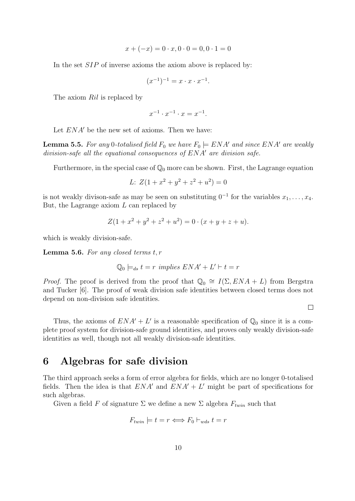$$
x + (-x) = 0 \cdot x, 0 \cdot 0 = 0, 0 \cdot 1 = 0
$$

In the set *SIP* of inverse axioms the axiom above is replaced by:

$$
(x^{-1})^{-1} = x \cdot x \cdot x^{-1}.
$$

The axiom Ril is replaced by

$$
x^{-1} \cdot x^{-1} \cdot x = x^{-1}.
$$

Let  $ENA'$  be the new set of axioms. Then we have:

**Lemma 5.5.** For any 0-totalised field  $F_0$  we have  $F_0 \models ENA'$  and since  $ENA'$  are weakly division-safe all the equational consequences of  $ENA<sup>'</sup>$  are division safe.

Furthermore, in the special case of  $\mathbb{Q}_0$  more can be shown. First, the Lagrange equation

$$
L: Z(1 + x^2 + y^2 + z^2 + u^2) = 0
$$

is not weakly divison-safe as may be seen on substituting  $0^{-1}$  for the variables  $x_1, \ldots, x_4$ . But, the Lagrange axiom  $L$  can replaced by

$$
Z(1 + x2 + y2 + z2 + u2) = 0 \cdot (x + y + z + u).
$$

which is weakly division-safe.

**Lemma 5.6.** For any closed terms  $t, r$ 

$$
\mathbb{Q}_0 \models_{ds} t = r \implies ENA' + L' \vdash t = r
$$

*Proof.* The proof is derived from the proof that  $\mathbb{Q}_0 \cong I(\Sigma, ENA + L)$  from Bergstra and Tucker [6]. The proof of weak division safe identities between closed terms does not depend on non-division safe identities.

 $\Box$ 

Thus, the axioms of  $ENA' + L'$  is a reasonable specification of  $\mathbb{Q}_0$  since it is a complete proof system for division-safe ground identities, and proves only weakly division-safe identities as well, though not all weakly division-safe identities.

### 6 Algebras for safe division

The third approach seeks a form of error algebra for fields, which are no longer 0-totalised fields. Then the idea is that  $ENA'$  and  $ENA'+L'$  might be part of specifications for such algebras.

Given a field F of signature  $\Sigma$  we define a new  $\Sigma$  algebra  $F_{twin}$  such that

$$
F_{twin} \models t = r \Longleftrightarrow F_0 \vdash_{wds} t = r
$$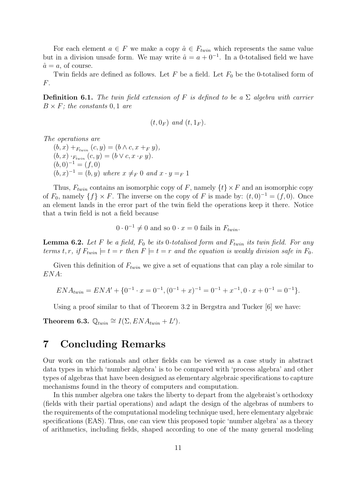For each element  $a \in F$  we make a copy  $\hat{a} \in F_{twin}$  which represents the same value but in a division unsafe form. We may write  $\hat{a} = a + 0^{-1}$ . In a 0-totalised field we have  $\hat{a} = a$ , of course.

Twin fields are defined as follows. Let  $F$  be a field. Let  $F_0$  be the 0-totalised form of F.

**Definition 6.1.** The twin field extension of F is defined to be a  $\Sigma$  algebra with carrier  $B \times F$ ; the constants 0, 1 are

$$
(t, 0_F) \text{ and } (t, 1_F).
$$

The operations are

 $(b, x) +_{F_{twin}} (c, y) = (b \wedge c, x +_F y),$  $(b, x) \cdot_{F_{twin}} (c, y) = (b \vee c, x \cdot_F y).$  $(b, 0)^{-1} = (f, 0)$  $(b, x)^{-1} = (b, y)$  where  $x \neq_F 0$  and  $x \cdot y =_F 1$ 

Thus,  $F_{twin}$  contains an isomorphic copy of F, namely  $\{t\} \times F$  and an isomorphic copy of  $F_0$ , namely  $\{f\} \times F$ . The inverse on the copy of F is made by:  $(t, 0)^{-1} = (f, 0)$ . Once an element lands in the error part of the twin field the operations keep it there. Notice that a twin field is not a field because

 $0 \cdot 0^{-1} \neq 0$  and so  $0 \cdot x = 0$  fails in  $F_{twin}$ .

**Lemma 6.2.** Let F be a field,  $F_0$  be its 0-totalised form and  $F_{twin}$  its twin field. For any terms t, r, if  $F_{twin} \models t = r$  then  $F \models t = r$  and the equation is weakly division safe in  $F_0$ .

Given this definition of  $F_{twin}$  we give a set of equations that can play a role similar to ENA:

$$
ENA_{twin} = ENA' + \{0^{-1} \cdot x = 0^{-1}, (0^{-1} + x)^{-1} = 0^{-1} + x^{-1}, 0 \cdot x + 0^{-1} = 0^{-1}\}.
$$

Using a proof similar to that of Theorem 3.2 in Bergstra and Tucker [6] we have:

Theorem 6.3.  $\mathbb{Q}_{twin} \cong I(\Sigma, ENA_{twin} + L').$ 

## 7 Concluding Remarks

Our work on the rationals and other fields can be viewed as a case study in abstract data types in which 'number algebra' is to be compared with 'process algebra' and other types of algebras that have been designed as elementary algebraic specifications to capture mechanisms found in the theory of computers and computation.

In this number algebra one takes the liberty to depart from the algebraist's orthodoxy (fields with their partial operations) and adapt the design of the algebras of numbers to the requirements of the computational modeling technique used, here elementary algebraic specifications (EAS). Thus, one can view this proposed topic 'number algebra' as a theory of arithmetics, including fields, shaped according to one of the many general modeling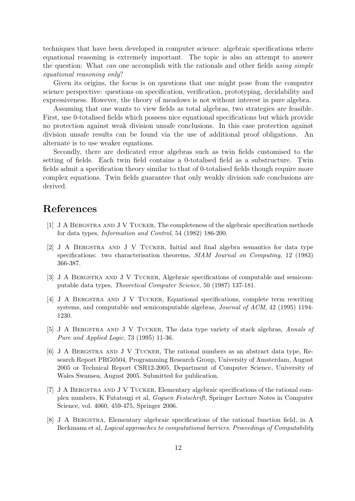techniques that have been developed in computer science: algebraic specifications where equational reasoning is extremely important. The topic is also an attempt to answer the question: What *can* one accomplish with the rationals and other fields using simple equational reasoning only?

Given its origins, the focus is on questions that one might pose from the computer science perspective: questions on specification, verification, prototyping, decidability and expressiveness. However, the theory of meadows is not without interest in pure algebra.

Assuming that one wants to view fields as total algebras, two strategies are feasible. First, use 0-totalised fields which possess nice equational specifications but which provide no protection against weak division unsafe conclusions. In this case protection against division unsafe results can be found via the use of additional proof obligations. An alternate is to use weaker equations.

Secondly, there are dedicated error algebras such as twin fields customised to the setting of fields. Each twin field contains a 0-totalised field as a substructure. Twin fields admit a specification theory similar to that of 0-totalised fields though require more complex equations. Twin fields guarantee that only weakly division safe conclusions are derived.

## References

- [1] J A Bergstra and J V Tucker, The completeness of the algebraic specification methods for data types, Information and Control, 54 (1982) 186-200.
- [2] J A Bergstra and J V Tucker, Initial and final algebra semantics for data type specifications: two characterisation theorems, SIAM Journal on Computing, 12 (1983) 366-387.
- [3] J A BERGSTRA AND J V TUCKER, Algebraic specifications of computable and semicomputable data types, Theoretical Computer Science, 50 (1987) 137-181.
- [4] J A Bergstra and J V Tucker, Equational specifications, complete term rewriting systems, and computable and semicomputable algebras, Journal of ACM, 42 (1995) 1194- 1230.
- [5] J A Bergstra and J V Tucker, The data type variety of stack algebras, Annals of Pure and Applied Logic, 73 (1995) 11-36.
- [6] J A Bergstra and J V Tucker, The rational numbers as an abstract data type, Research Report PRG0504, Programming Research Group, University of Amsterdam, August 2005 or Technical Report CSR12-2005, Department of Computer Science, University of Wales Swansea, August 2005. Submitted for publication.
- [7] J A Bergstra and J V Tucker, Elementary algebraic specifications of the rational complex numbers, K Futatsugi et al, Goguen Festschrift, Springer Lecture Notes in Computer Science, vol. 4060, 459-475, Springer 2006.
- [8] J A Bergstra, Elementary algebraic specifications of the rational function field, in A Beckmann et al, Logical approaches to computational barriers. Proceedings of Computability